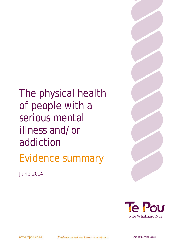The physical health of people with a serious mental illness and/or addiction Evidence summary



*June 2014*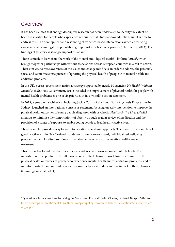## **Overview**

-

It has been claimed that enough descriptive research has been undertaken to identify the extent of health disparities for people who experience serious mental illness and/or addiction, and it is time to address this. The development and resourcing of evidence-based interventions aimed at reducing excess mortality amongst this population group must now become a priority (Thornicroft, 2013). The findings of this review strongly support this claim.

There is much to learn from the work of the Mental and Physical Health Platform  $(2013)^1$  $(2013)^1$  $(2013)^1$ , which brought together partnerships with various associations across European countries in a call to action. Their aim was to raise awareness of the issues and change mind sets, in order to address the personal, social and economic consequences of ignoring the physical health of people with mental health and addiction problems.

In the UK, a cross-government national strategy supported by nearly 30 agencies, *No Health Without Mental Health*, (HM Government, 2011) included the improvement of physical health for people with mental health problems as one of six priorities in its own call to action statement.

In 2013, a group of psychiatrists, including Jackie Curtis of the Bondi Early Psychosis Programme in Sydney, launched an international consensus statement focusing on early intervention to improve the physical health outcomes of young people diagnosed with psychosis. *Healthy Active Lives (HeAL)* attempts to minimise the complications of obesity through regular review of medication and the provision of a range of supports to enable young people to lead healthy, active lives.

These examples provide a way forward for a national, systemic approach. There are many examples of good practice within New Zealand that demonstrate recovery-based, individualised wellbeing programmes and localised solutions that enable better access to preventative health care and treatment.

This review has found that there is sufficient evidence to inform action at multiple levels. The important next step is to involve all those who can effect change to work together to improve the physical health outcomes of people who experience mental health and/or addiction problems, and to monitor mortality and morbidity rates on a routine basis to understand the impact of these changes (Cunningham et al., 2014).

<span id="page-1-0"></span><sup>&</sup>lt;sup>1</sup> Quotation is from a brochure launching the Mental and Physical Health Charter, retrieved 20 April 2014 from [http://ec.europa.eu/health/mental\\_health/eu\\_compass/policy\\_recommendations\\_declarations/mh\\_charter\\_acti](http://ec.europa.eu/health/mental_health/eu_compass/policy_recommendations_declarations/mh_charter_action_en.pdf) [on\\_en.pdf](http://ec.europa.eu/health/mental_health/eu_compass/policy_recommendations_declarations/mh_charter_action_en.pdf)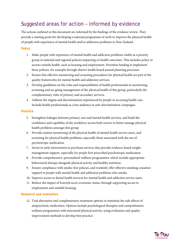# Suggested areas for action – informed by evidence

The actions outlined in this document are informed by the findings of the evidence review. They provide a starting point for developing a national programme of work to improve the physical health of people with experience of mental health and/or addiction problems in New Zealand.

## **Policy**

- 1. Make people with experience of mental health and addiction problems visible as a priority group in national and regional policies impacting on health outcomes. This includes policy in sectors outside health, such as housing and employment. Prioritise funding to implement these policies, for example through district health board annual planning processes.
- 2. Ensure that effective monitoring and screening procedures for physical health are part of the quality frameworks for mental health and addiction services.
- 3. Develop guidelines on the roles and responsibilities of health professionals in monitoring, screening and on-going management of the physical health of this group, particularly the complementary roles of primary and secondary services.
- 4. Address the stigma and discrimination experienced by people in accessing health care. Include health professionals as a key audience in anti-discrimination campaigns.

## **Practice**

- 5. Strengthen linkages between primary care and mental health services, and build the confidence and capability of the workforce across both sectors to better manage physical health problems amongst this group.
- 6. Provide routine monitoring of the physical health of mental health service users, and screening for physical health problems, especially those associated with the use of psychotropic medication.
- 7. Invest in early intervention in psychosis services that provide evidence-based weight management support, especially for people first prescribed psychotropic medication.
- 8. Provide comprehensive, personalised wellness programmes, which include appropriate behavioural therapy alongside physical activity and healthy nutrition.
- 9. Ensure compliance with smoke-free policies, and routinely offer effective smoking cessation support to people with mental health and addiction problems who smoke.
- 10. Improve access to dental health services for mental health and addiction service users.
- 11. Reduce the impact of lowered socio-economic status, through supporting access to employment and suitable housing.

## **Research and evaluation**

12. Trial alternative and complementary treatment options to minimise the side effects of antipsychotic medication. Options include psychological therapies and comprehensive wellness programmes with structured physical activity, using evaluation and quality improvement methods to develop best practice.

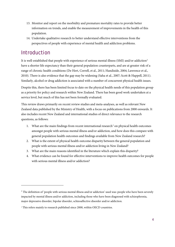- 13. Monitor and report on the morbidity and premature mortality rates to provide better information on trends, and enable the measurement of improvements in the health of this population.
- 14. Undertake qualitative research to better understand effective interventions from the perspectives of people with experience of mental health and addiction problems.

# Introduction

1

It is well-established that people with experience of serious mental illness (SMI) and/or addiction<sup>2</sup> have a shorter life expectancy than their general population counterparts, and are at greater risk of a range of chronic health conditions (De Hert, Correll, et al., 2011; Handiside, 2004; Lawrence et al., 2010). There is also evidence that the gap may be widening (Saha et al., 2007; Scott & Happell, 2011). Similarly, alcohol or drug addiction is associated with a number of concurrent physical health issues.

Despite this, there has been limited focus to date on the physical health needs of this population group as a priority for policy and research within New Zealand. There has been good work undertaken at a service level, but much of this has not been formally evaluated.

This review draws primarily on recent review studies and meta-analyses, as well as relevant New Zealand data published by the Ministry of Health, with a focus on publications from 2000 onwards. It also includes recent New Zealand and international studies of direct relevance to the research questions, as follows:

- 1. What are the main findings from recent international research<sup>[3](#page-3-1)</sup> on physical health outcomes amongst people with serious mental illness and/or addiction, and how does this compare with general population health outcomes and findings available from New Zealand research?
- 2. What is the extent of physical health outcome disparity between the general population and people with serious mental illness and/or addiction living in New Zealand?
- 3. What are the main reasons identified in the literature which explain this disparity?
- 4. What evidence can be found for effective interventions to improve health outcomes for people with serious mental illness and/or addiction?

<span id="page-3-0"></span><sup>&</sup>lt;sup>2</sup> The definition of 'people with serious mental illness and/or addiction' used was: people who have been severely impacted by mental illness and/or addiction, including those who have been diagnosed with schizophrenia, major depressive disorder, bipolar disorder, schizoaffective disorder and/or addiction.

<span id="page-3-1"></span><sup>&</sup>lt;sup>3</sup> This refers mainly to research published since 2000, within OECD countries.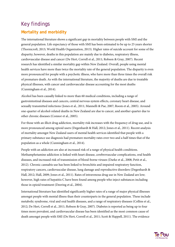# Key findings

## **Mortality and morbidity**

The international literature shows a significant gap in mortality between people with SMI and the general population. Life expectancy of those with SMI has been estimated to be up to 25 years shorter (Thornicroft, 2013; World Health Organization, 2013). Higher rates of suicide account for some of the disparity; however, deaths in this population are mainly due to diabetes, respiratory illness, cardiovascular disease and cancer (De Hert, Correll et al., 2011; Robson & Gray, 2007). Recent research has identified a similar mortality gap within New Zealand. Overall, people using mental health services have more than twice the mortality rate of the general population. The disparity is even more pronounced for people with a psychotic illness, who have more than three times the overall risk of premature death. As with the international literature, the majority of deaths are due to treatable physical illnesses, with cancer and cardiovascular disease accounting for the most deaths (Cunningham et al., 2014).

Alcohol has been causally linked to more than 60 medical conditions, including a range of gastrointestinal diseases and cancers, central nervous system effects, coronary heart disease, and sexually transmitted infections (Jones et al., 2011; Mannelli & Pae, 2007; Room et al., 2005). Around one-quarter of alcohol-related deaths in New Zealand are due to cancer, and another quarter due to other chronic diseases (Connor et al., 2005).

For those with an illicit drug addiction, mortality risk increases with the frequency of drug use, and is more pronounced among opioid users (Degenhardt & Hall, 2012; Jones et al., 2011). Recent analysis of mortality amongst New Zealand users of mental health services identified that people with a primary substance use diagnosis had premature mortality rates over two and a half times that of the population as a whole (Cunningham et al., 2014).

People with an addiction are also at increased risk of a range of physical health conditions. Methamphetamine addiction is linked with heart disease, cerebrovascular complications, oral health diseases, and increased risk of transmission of blood-borne viruses (Darke et al., 2008; Petit et al., 2012). Chronic cannabis use has been linked to bronchitis and impaired respiratory function, respiratory cancers, cardiovascular disease, lung damage and reproductive disorders (Degenhardt & Hall, 2012; Hall, 2009; Jones et al., 2011). Rates of intravenous drug use in New Zealand are low; however, high rates of hepatitis C have been found among people who inject substances including those in opioid treatment (Deering et al., 2004).

International literature has identified significantly higher rates of a range of major physical illnesses amongst people with mental illness than their counterparts in the general population. These include metabolic syndrome, viral and oral health diseases, and a range of respiratory diseases (Collins et al., 2012; De Hert, Correll et al., 2011; Robson & Gray, 2007). Diabetes is reported as being up to four times more prevalent, and cardiovascular disease has been identified as the most common cause of death amongst people with SMI (De Hert, Correll et al., 2011; Scott & Happell, 2011). The evidence

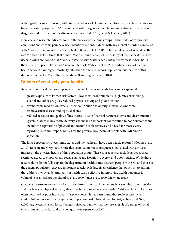with regard to cancer is mixed, with limited evidence of elevated rates. However, case fatality rates are higher amongst people with SMI, compared with the general population, indicating unequal access to diagnosis and treatment of the disease (Lawrence et al., 2010; Scott & Happell, 2011).

New Zealand research indicates some differences across ethnic groups. Higher rates of respiratory conditions and chronic pain have been identified amongst Māori with any mental disorder, compared with Māori with no mental disorder (Oakley-Browne et al., 2006). The overall alcohol-related death rate for Māori is four times that of non-Māori (Connor et al., 2005). A study of mental health service users in Auckland found that Māori and Pacific service users had a higher body mass index (BMI) than their European/Other and Asian counterparts (Wheeler et al., 2013). Māori users of mental health services have higher mortality rates than the general Māori population, but the size of this difference is less for Māori than non-Māori (Cunningham et al., 2014).

## **Drivers of relatively poor health**

Relatively poor health amongst people with mental illness and addiction can be explained by:

- 1. greater exposure to known risk factors low socio-economic status, high rates of smoking, alcohol and other drug use, reduced physical activity and poor nutrition
- 2. psychotropic medication effects their contribution to obesity, metabolic syndrome, cardiovascular disease and type 2 diabetes
- 3. reduced access to and quality of healthcare due to financial barriers, stigma and discrimination. Systemic issues in healthcare delivery also make an important contribution to poor outcomes and include the separation of physical and mental health services, and a need for more clarity regarding roles and responsibilities for the physical healthcare of people with SMI and/or addiction.

The links between socio-economic status and mental health have been widely reported (Collins et al., 2012). Robson and Gray (2007) note that socio-economic consequences associated with SMI also impact on the physical health of this population group. These consequences include issues such as restricted access to employment, social stigma and isolation, poverty, and poor housing. While these factors alone do not fully explain the disparities in health status between people with SMI and those of the general population, they are important to acknowledge, given evidence that policy interventions that address the social determinants of health can be effective in improving health outcomes for vulnerable or at-risk groups (Bambra et al., 2009; Jones et al., 2009; Marmot, 2013).

Greater exposure to known risk factors for chronic physical illnesses, such as smoking, poor nutrition and low levels of physical activity, also contribute to relatively poor health. While such behaviours are often described as poor individual 'lifestyle' choices, it has been found that socio-economic and clinical influences can have a significant impact on health behaviours. Indeed, Robson and Gray (2007) argue against such factors being choices, and rather that they are a result of a range of social, environmental, physical and psychological consequences of SMI.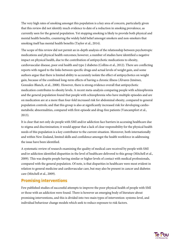The very high rates of smoking amongst this population is a key area of concern, particularly given that this review did not identify much evidence to date of a reduction in smoking prevalence, as currently seen for the general population. Yet stopping smoking is likely to provide both physical and mental health benefits, countering the widely held belief amongst smokers and non-smokers that smoking itself has mental health benefits (Taylor et al., 2014).

The scope of this review did not permit an in-depth analysis of the relationship between psychotropic medications and physical health outcomes; however, a number of studies have identified a negative impact on physical health, due to the contribution of antipsychotic medications to obesity, cardiovascular disease, poor oral health and type 2 diabetes (Collins et al., 2012). There are conflicting reports with regard to the links between specific drugs and actual levels of weight gain, and some authors argue that there is limited ability to accurately isolate the effect of antipsychotics on weight gain, because of the combined long-term effects of having a chronic illness (Álvarez-Jiménez, Gonzalez-Blanch, et al., 2008). However, there is strong evidence overall that antipsychotic medication contributes to obesity levels. A recent meta-analysis comparing people with schizophrenia and the general population found that people with schizophrenia who have multiple episodes and are on medication are at a more than four-fold increased risk for abdominal obesity, compared to general population controls; and that this group is also at significantly increased risk for developing cardiometabolic abnormalities, compared with first-episode and drug-free patients (Vancampfort et al., 2013).

It is clear that not only do people with SMI and/or addiction face barriers in accessing healthcare due to stigma and discrimination; it would appear that a lack of clear responsibility for the physical health needs of this population is a key contributor to the current situation. Moreover, both internationally and within New Zealand, limited skills and confidence amongst the health workforce in addressing the issue have been identified.

A systematic review of research examining the quality of medical care received by people with SMI and/or addiction identified disparities in the level of healthcare delivered to this group (Mitchell et al., 2009). This was despite people having similar or higher levels of contact with medical professionals, compared with the general population. Of note, is that disparities in healthcare were most evident in relation to general medicine and cardiovascular care, but may also be present in cancer and diabetes care (Mitchell et al., 2009).

## **Promising interventions**

Few published studies of successful attempts to improve the poor physical health of people with SMI or those with an addiction were found. There is however an emerging body of literature about promising interventions, and this is divided into two main types of intervention: systems-level, and individual behaviour change models which seek to reduce exposure to risk factors.

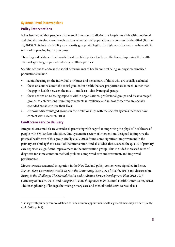### **Systems-level interventions**

### *Policy interventions*

It has been noted that people with a mental illness and addiction are largely invisible within national and global strategies, even though various other 'at risk' populations are commonly identified (Burti et al., 2013). This lack of visibility as a priority group with legitimate high needs is clearly problematic in terms of improving health outcomes.

There is good evidence that broader health-related policy has been effective at improving the health status of specific groups and reducing health disparities.

Specific actions to address the social determinants of health and wellbeing amongst marginalised populations include:

- avoid focusing on the individual attributes and behaviours of those who are socially excluded
- focus on actions across the social gradient in health that are proportionate to need, rather than the gap in health between the most – and least – disadvantaged groups
- focus actions on releasing capacity within organisations, professional groups and disadvantaged groups, to achieve long-term improvements in resilience and in how those who are socially excluded are able to live their lives
- empower disadvantaged groups in their relationships with the societal systems that they have contact with (Marmot, 2013).

### *Healthcare service delivery*

-

Integrated care models are considered promising with regard to improving the physical healthcare of people with SMI and/or addiction. One systematic review of interventions designed to improve the physical healthcare of this group (Reilly et al., 2013) found some significant improvement in the primary care linkage[4](#page-7-0) as a result of the intervention, and all studies that assessed the quality of primary care reported a significant improvement in the intervention group. This included increased rates of diagnosis for some common medical problems, improved care and treatment, and improved performance.

Moves towards structural integration in the New Zealand policy context were signalled in *Better, Sooner, More Convenient Health Care in the Community* (Ministry of Health, 2011) and discussed in *Rising to the Challenge: The Mental Health and Addiction Service Development Plan 2012-2017* (Ministry of Health, 2012) and *Blueprint II: How things need to be* (Mental Health Commission, 2012). The strengthening of linkages between primary care and mental health services was also a

<span id="page-7-0"></span><sup>4</sup> Linkage with primary care was defined as "one or more appointments with a general medical provider" (Reilly et al., 2013, p. 148).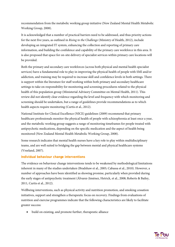recommendation from the metabolic working group initiative (New Zealand Mental Health Metabolic Working Group, 2008).

It is acknowledged that a number of practical barriers need to be addressed, and thus priority actions for the next five years, as outlined in *Rising to the Challenge* (Ministry of Health, 2012), include developing an integrated IT system, enhancing the collection and reporting of primary care information, and building the confidence and capability of the primary care workforce in this area. It is also proposed that space for on-site delivery of specialist services within primary care locations will be provided.

Both the primary and secondary care workforces (across both physical and mental health specialist services) have a fundamental role to play in improving the physical health of people with SMI and/or addiction, and training may be required to increase skill and confidence levels in both settings. There is support within the literature for staff working within both primary and secondary healthcare settings to take on responsibility for monitoring and screening procedures related to the physical health of this population group (Ministerial Advisory Committee on Mental Health, 2011). This review did not identify clear evidence regarding the level and frequency with which monitoring and screening should be undertaken, but a range of guidelines provide recommendations as to which health aspects require monitoring (Curtis et al., 2012).

National Institute for Clinical Excellence (NICE) guidelines (2009) recommend that primary healthcare professionals monitor the physical health of people with schizophrenia at least once a year, and the metabolic working group suggests a range of monitoring timeframes for people treated with antipsychotic medications, depending on the specific medication and the aspect of health being monitored (New Zealand Mental Health Metabolic Working Group, 2008).

Some research indicates that mental health nurses have a key role to play within multidisciplinary teams, and are well suited to bridging the gap between mental and physical healthcare systems (Vreeland, 2007).

#### **Individual behaviour change interventions**

The evidence on behaviour change interventions tends to be weakened by methodological limitations inherent in many of the studies undertaken (Bradshaw et al., 2005; Cabassa et al., 2010). However, a number of approaches have been identified as showing promise, particularly when provided during the early stages of antipsychotic treatment (Álvarez-Jiménez, Hetrick, et al., 2008; Roberts & Bailey, 2011, Curtis et al., 2012).

Wellbeing interventions, such as physical activity and nutrition promotion, and smoking cessation initiatives, support and strengthen a therapeutic focus on recovery. Findings from evaluations of nutrition and exercise programmes indicate that the following characteristics are likely to facilitate greater success:

• build on existing, and promote further, therapeutic alliance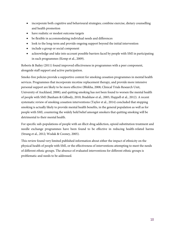- incorporate both cognitive and behavioural strategies; combine exercise, dietary counselling and health promotion
- have realistic or modest outcome targets
- be flexible in accommodating individual needs and differences
- look to the long-term and provide ongoing support beyond the initial intervention
- include a group or social component
- acknowledge and take into account possible barriers faced by people with SMI in participating in such programmes (Kemp et al., 2009).

Roberts & Bailey (2011) found improved effectiveness in programmes with a peer component, alongside staff support and active participation.

Smoke-free policies provide a supportive context for smoking cessation programmes in mental health services. Programmes that incorporate nicotine replacement therapy, and provide more intensive personal support are likely to be more effective (Bhikha, 2008; Clinical Trials Research Unit, University of Auckland, 2008); and quitting smoking has not been found to worsen the mental health of people with SMI (Banham & Gilbody, 2010; Bradshaw et al., 2005; Happell et al., 2012). A recent systematic review of smoking cessation interventions (Taylor et al., 2014) concluded that stopping smoking is actually likely to provide mental health benefits, in the general population as well as for people with SMI, countering the widely held belief amongst smokers that quitting smoking will be detrimental to their mental health.

For specific sub-populations of people with an illicit drug addiction, opioid substitution treatment and needle exchange programmes have been found to be effective in reducing health-related harms (Strang et al., 2012; Wodak & Cooney, 2005).

This review found very limited published information about either the impact of ethnicity on the physical health of people with SMI, or the effectiveness of interventions attempting to meet the needs of different ethnic groups. The absence of evaluated interventions for different ethnic groups is problematic and needs to be addressed.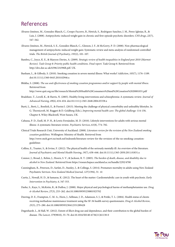## References

- Álvarez-Jiménez, M., Gonzalez-Blanch, C., Crespo-Facorro, B., Hetrick, S., Rodriguez-Sanchez, J. M., Perez-Iglesias, R., & Luis, J. (2008). Antipsychotic-induced weight gain in chronic and first-episode psychotic disorders. *CNS drugs*, *22*(7), 547–562.
- Álvarez-Jiménez, M., Hetrick, S. E., González-Blanch, C., Gleeson, J. F., & McGorry, P. D. (2008). Non-pharmacological management of antipsychotic-induced weight gain: Systematic review and meta-analysis of randomised controlled trials. *The British Journal of Psychiatry*, *193*(2), 101–107.
- Bambra, C., Joyce, K. E., & Maryon-Davies, A. (2009). *Strategic review of health inequalities in England post-2010 (Marmot Review). Task Group 8: Priority public health conditions. Final report*. Task Group 8. Retrieved from http://dro.dur.ac.uk/6396/2/6396R.pdf. UK.
- Banham, L., & Gilbody, S. (2010). Smoking cessation in severe mental illness: What works? *Addiction*, *105*(7), 1176–1189. doi:10.1111/j.1360-0443.2010.02946.x
- Bhikha, S. (2008). *The use and effectiveness of smoking cessation programmes and/or support by people with mental illness*. Retrieved from

http://www.quit.org.nz/file/research/Mental%20Health%20Consumers%20and%20Cessation%2020081031.pdf

- Bradshaw, T., Lovell, K., & Harris, N. (2005). Healthy living interventions and schizophrenia: A systematic review. *Journal of Advanced Nursing*, *49*(6), 634–654. doi:10.1111/j.1365-2648.2004.03338.x
- Burti, L., Berti, L., Bonfioli, E., & Fiorini I. (2013). Meeting the challenge of physical comorbidity and unhealthy lifestyles. In G. Thornicroft, M. Ruggeri & D. Goldberg (Eds.), *Improving mental health care: The global challenge:* 114-130, Chapter 8, Wiley-Blackwell, West Sussex, UK.
- Cabassa, P. D., Ezell, M. P. H., & Lewis-Fernández, M. D. (2010). Lifestyle interventions for adults with serious mental illness: A systematic literature review. *Psychiatric Services*, *61*(8), 774–782.
- Clinical Trials Research Unit, University of Auckland. (2008). *Literature review for the revision of the New Zealand smoking cessation guidelines*. Wellington: Ministry of Health. Retrieved from http://www.moh.govt.nz/moh.nsf/indexmh/literature-review-for-the-revision-of-the-nz-smoking-cessationguidelines
- Collins, E., Tranter, S., & Irvine, F. (2012). The physical health of the seriously mentally ill: An overview of the literature. *Journal of Psychiatric and Mental Health Nursing*, *19*(7), 638–646. doi:10.1111/j.1365-2850.2011.01831.x
- Connor, J., Broad, J., Rehm, J., Hoorn, S. V., & Jackson, R. T. (2005). *The burden of death, disease, and disability due to alcohol in New Zealand.* Retrieved from https://researchspace.auckland.ac.nz/handle/2292/4700
- Cunningham, R., Peterson, D., Sarfati, D., Stanley, J., & Collings, S. (2014). Premature mortality in adults using New Zealand Psychiatric Services. *New Zealand Medical Journal, 127*(1394), 31- 41
- Curtis, J., Newall, H. D., & Samaras, K. (2012). The heart of the matter: Cardiometabolic care in youth with psychosis. *Early Intervention in Psychiatry, 6,* 347-353.
- Darke, S., Kaye, S., McKetin, R., & Duflou, J. (2008). Major physical and psychological harms of methamphetamine use. *Drug & Alcohol Review*, *27*(3), 253–262. doi:10.1080/09595230801923702
- Deering, D. E., Frampton, C. M. A., Horn, J., Sellman, J. D., Adamson, S. J., & Potiki, T. L. (2004). Health status of clients receiving methadone maintenance treatment using the SF-36 health survey questionnaire. *Drug & Alcohol Review*, *23*(3), 273–280. doi:10.1080/09595230412331289428
- Degenhardt, L., & Hall, W. (2012). Extent of illicit drug use and dependence, and their contribution to the global burden of disease. *The Lancet*, *379*(9810), 55–70. doi:10.1016/S0140-6736(11)61138-0

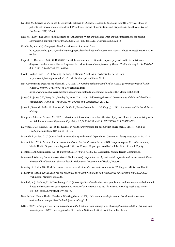- De Hert, M., Correll, C. U., Bobes, J., Cetkovich-Bakmas, M., Cohen, D., Asai, I., & Leucht, S. (2011). Physical illness in patients with severe mental disorders: I: Prevalence, impact of medications and disparities in health care. *World Psychiatry*, *10*(1), 52–63.
- Hall, W. (2009). The adverse health effects of cannabis use: What are they, and what are their implications for policy? *International Journal of Drug Policy*, *20*(6), 458–466. doi:10.1016/j.drugpo.2009.02.013
- Handiside, A. (2004). *Our physical health – who cares?* Retrieved from http://www.mhc.govt.nz/media/199699/physical%20health%20of%20service%20users..who%20cares%20april%2020 04.doc
- Happell, B., Davies, C., & Scott, D. (2012). Health behaviour interventions to improve physical health in individuals diagnosed with a mental illness: A systematic review. *International Journal of Mental Health Nursing*, *21*(3), 236–247. doi:10.1111/j.1447-0349.2012.00816.x
- Healthy Active Lives (HeAL) Keeping the Body in Mind in Youth with Psychosis Retrieved from http://www.iphys.org.au/media/HeAL\_declaration.pdf on 3 June 2014.
- HM Government. Department of Health, UK. (2011). *No health without mental health: A cross-government mental health outcomes strategy for people of all ages* retrieved from https://www.gov.uk/government/uploads/system/uploads/attachment\_data/file/213761/dh\_124058.pdf
- [Jones C.P.,](http://www.ncbi.nlm.nih.gov/pubmed?term=Jones%20CP%5BAuthor%5D&cauthor=true&cauthor_uid=20168027) [Jones C.Y.](http://www.ncbi.nlm.nih.gov/pubmed?term=Jones%20CY%5BAuthor%5D&cauthor=true&cauthor_uid=20168027)[, Perry G.S.](http://www.ncbi.nlm.nih.gov/pubmed?term=Perry%20GS%5BAuthor%5D&cauthor=true&cauthor_uid=20168027)[, Barclay G.,](http://www.ncbi.nlm.nih.gov/pubmed?term=Barclay%20G%5BAuthor%5D&cauthor=true&cauthor_uid=20168027) [Jones C.A](http://www.ncbi.nlm.nih.gov/pubmed?term=Jones%20CA%5BAuthor%5D&cauthor=true&cauthor_uid=20168027). (2009). Addressing the social determinants of children's health: A cliff analogy. *Journal of Health Care for the Poor and Underserved*, 20, 1-12.
- Jones, L., Bates, G., Bellis, M., Beynon, C., Duffy, P., Evans-Brown, M., … McVeigh, J. (2011). *A summary of the health harms of drugs*.
- Kemp, V., Bates, A., & Isaac, M. (2009). Behavioural interventions to reduce the risk of physical illness in persons living with mental illness. *Current Opinion in Psychiatry*, *22*(2), 194–199. doi:10.1097/YCO.0b013e328325a585
- Lawrence, D., & Kisely, S. (2010). Inequalities in healthcare provision for people with severe mental illness. *Journal of Psychopharmacology*, *24*(4 suppl), 61–68.
- Mannelli, P., & Pae, C. U. (2007). Medical comorbidity and alcohol dependence. *Current psychiatry reports*, *9*(3), 217–224.
- Marmot, M. (2013). *Review of social determinants and the health divide in the WHO European region: Executive summary*. World Health Organization Regional Office for Europe. Report prepared by UCL Institute of Health Equity.
- Mental Health Commission. (2012). *Blueprint II: How things need to be.* Wellington: Mental Health Commission.
- Ministerial Advisory Committee on Mental Health. (2011). *Improving the physical health of people with severe mental illness: No mental health without physical health.* Melbourne: Department of Health, Victoria.
- Ministry of Health. (2011). *Better, sooner, more convenient health care in the community.* Wellington: Ministry of Health.
- Ministry of Health. (2012). *Rising to the challenge: The mental health and addiction service development plan, 2012-2017.* Wellington: Ministry of Health.
- Mitchell, A. J., Malone, D., & Doebbeling, C. C. (2009). Quality of medical care for people with and without comorbid mental illness and substance misuse: Systematic review of comparative studies. *The British Journal of Psychiatry*, *194*(6), 491–499. doi:10.1192/bjp.bp.107.045732
- New Zealand Mental Health Metabolic Working Group. (2008). *Intervention guide for mental health service users on antipsychotic therapy*. New Zealand: Janssen-Cilag Ltd.
- NICE. (2009). *Schizophrenia: Core interventions in the treatment and management of schizophrenia in adults in primary and secondary care. NICE clinical guideline 82*. London: National Institute for Clinical Excellence.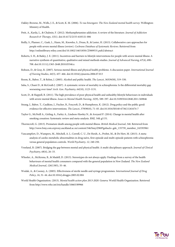- Oakley-Browne, M., Wells, J. E., & Scott, K. M. (2006). *Te rau hinengaro: The New Zealand mental health survey*. Wellington: Ministry of Health.
- Petit, A., Karila, L., & Chalmin, F. (2012). Methamphetamine addiction: A review of the literature. *Journal of Addiction Research & Therapy*, *1*(S1). doi:10.4172/2155-6105.S1-006
- Reilly, S., Planner, C., Gask, L., Hann, M., Knowles, S., Druss, B., & Lester, H. (2013). Collaborative care approaches for people with severe mental illness (review). *Cochrane Database of Systematic Reviews*. Retrieved from http://onlinelibrary.wiley.com/doi/10.1002/14651858.CD009531.pub2/abstract
- Roberts, S. H., & Bailey, J. E. (2011). Incentives and barriers to lifestyle interventions for people with severe mental illness: A narrative synthesis of quantitative, qualitative and mixed methods studies. *Journal of Advanced Nursing*, *67*(4), 690– 708. doi:10.1111/j.1365-2648.2010.05546.x
- Robson, D., & Gray, R. (2007). Serious mental illness and physical health problems: A discussion paper. *International Journal of Nursing Studies*, *44*(3), 457–466. doi:10.1016/j.ijnurstu.2006.07.013
- Room, R., Babor, T., & Rehm, J. (2005). Alcohol and public health. *The Lancet*, *365*(9458), 519–530.
- Saha, S., Chant D., & McGrath J. (2007). A systematic review of mortality in schizophrenia: Is the differential mortality gap worsening over time? *Arch. Gen. Psychiatry, 64*(10), 1123-1131.
- Scott, D., & Happell, B. (2011). The high prevalence of poor physical health and unhealthy lifestyle behaviours in individuals with severe mental illness. *Issues in Mental Health Nursing*, *32*(9), 589–597. doi:10.3109/01612840.2011.569846
- Strang, J., Babor, T., Caulkins, J., Fischer, B., Foxcroft, D., & Humphreys, K. (2012). Drug policy and the public good: evidence for effective interventions. *The Lancet*, *379*(9810), 71–83. doi:10.1016/S0140-6736(11)61674-7
- Taylor G., McNeill A., Girling A., Farley A., Lindson-Hawley N., & Aveyard P. (2014). Change in mental health after smoking cessation: Systematic review and meta-analysis. *BMJ, 348;* g1151.
- Thornicroft, G. (2013). Premature death among people with mental illness. *British Medical Journal*, *346*. Retrieved from http://www.bmj.com.ezproxy.auckland.ac.nz/content/346/bmj.f2969?goback=.gde\_135759\_member\_243393961
- Vancampfort, D., Wampers, M., Mitchell, A. J., Correll, C. U., De Herdt, A., Probst, M., & De Hert, M. (2013). A metaanalysis of cardio-metabolic abnormalities in drug naïve, first-episode and multi-episode patients with schizophrenia versus general population controls. *World Psychiatry, 12,* 240-250.
- Vreeland, B. (2007). Bridging the gap between mental and physical health: A multi-disciplinary approach. *Journal of Clinical Psychiatry*, *68*(4), 26–33.
- Wheeler, A., McKenna, B., & Madell, D. (2013). Stereotypes do not always apply: Findings from a survey of the health behaviours of mental health consumers compared with the general population in New Zealand. *The New Zealand Medical Journal*, *126*(1385), 35–46.
- Wodak, A., & Cooney, A. (2005). Effectiveness of sterile needle and syringe programmes. *International Journal of Drug Policy*, *16*, 31–44. doi:10.1016/j.drugpo.2005.02.004
- World Health Organization. (2013). *Mental health action plan 2013-2020*. Geneva: World Health Organization. Retrieved from http://www.who.int/iris/handle/10665/89966